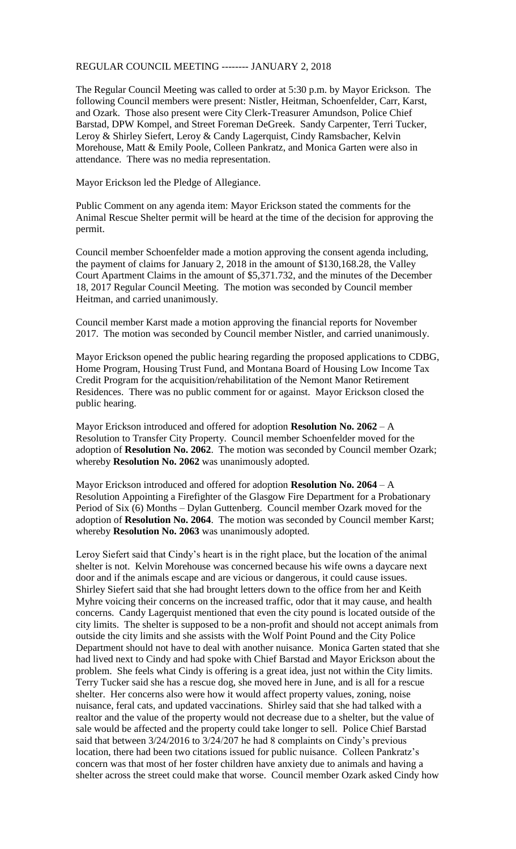## REGULAR COUNCIL MEETING -------- JANUARY 2, 2018

The Regular Council Meeting was called to order at 5:30 p.m. by Mayor Erickson. The following Council members were present: Nistler, Heitman, Schoenfelder, Carr, Karst, and Ozark. Those also present were City Clerk-Treasurer Amundson, Police Chief Barstad, DPW Kompel, and Street Foreman DeGreek. Sandy Carpenter, Terri Tucker, Leroy & Shirley Siefert, Leroy & Candy Lagerquist, Cindy Ramsbacher, Kelvin Morehouse, Matt & Emily Poole, Colleen Pankratz, and Monica Garten were also in attendance. There was no media representation.

Mayor Erickson led the Pledge of Allegiance.

Public Comment on any agenda item: Mayor Erickson stated the comments for the Animal Rescue Shelter permit will be heard at the time of the decision for approving the permit.

Council member Schoenfelder made a motion approving the consent agenda including, the payment of claims for January 2, 2018 in the amount of \$130,168.28, the Valley Court Apartment Claims in the amount of \$5,371.732, and the minutes of the December 18, 2017 Regular Council Meeting. The motion was seconded by Council member Heitman, and carried unanimously.

Council member Karst made a motion approving the financial reports for November 2017. The motion was seconded by Council member Nistler, and carried unanimously.

Mayor Erickson opened the public hearing regarding the proposed applications to CDBG, Home Program, Housing Trust Fund, and Montana Board of Housing Low Income Tax Credit Program for the acquisition/rehabilitation of the Nemont Manor Retirement Residences. There was no public comment for or against. Mayor Erickson closed the public hearing.

Mayor Erickson introduced and offered for adoption **Resolution No. 2062** – A Resolution to Transfer City Property. Council member Schoenfelder moved for the adoption of **Resolution No. 2062**. The motion was seconded by Council member Ozark; whereby **Resolution No. 2062** was unanimously adopted.

Mayor Erickson introduced and offered for adoption **Resolution No. 2064** – A Resolution Appointing a Firefighter of the Glasgow Fire Department for a Probationary Period of Six (6) Months – Dylan Guttenberg. Council member Ozark moved for the adoption of **Resolution No. 2064**. The motion was seconded by Council member Karst; whereby **Resolution No. 2063** was unanimously adopted.

Leroy Siefert said that Cindy's heart is in the right place, but the location of the animal shelter is not. Kelvin Morehouse was concerned because his wife owns a daycare next door and if the animals escape and are vicious or dangerous, it could cause issues. Shirley Siefert said that she had brought letters down to the office from her and Keith Myhre voicing their concerns on the increased traffic, odor that it may cause, and health concerns. Candy Lagerquist mentioned that even the city pound is located outside of the city limits. The shelter is supposed to be a non-profit and should not accept animals from outside the city limits and she assists with the Wolf Point Pound and the City Police Department should not have to deal with another nuisance. Monica Garten stated that she had lived next to Cindy and had spoke with Chief Barstad and Mayor Erickson about the problem. She feels what Cindy is offering is a great idea, just not within the City limits. Terry Tucker said she has a rescue dog, she moved here in June, and is all for a rescue shelter. Her concerns also were how it would affect property values, zoning, noise nuisance, feral cats, and updated vaccinations. Shirley said that she had talked with a realtor and the value of the property would not decrease due to a shelter, but the value of sale would be affected and the property could take longer to sell. Police Chief Barstad said that between 3/24/2016 to 3/24/207 he had 8 complaints on Cindy's previous location, there had been two citations issued for public nuisance. Colleen Pankratz's concern was that most of her foster children have anxiety due to animals and having a shelter across the street could make that worse. Council member Ozark asked Cindy how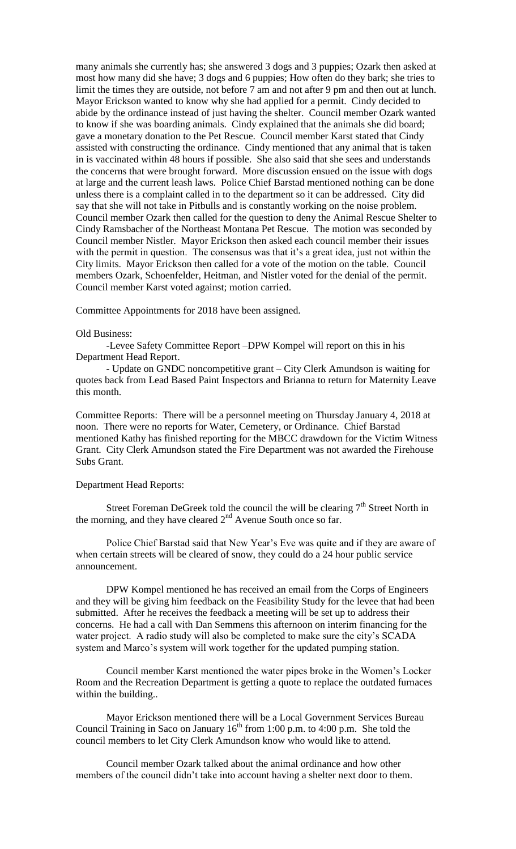many animals she currently has; she answered 3 dogs and 3 puppies; Ozark then asked at most how many did she have; 3 dogs and 6 puppies; How often do they bark; she tries to limit the times they are outside, not before 7 am and not after 9 pm and then out at lunch. Mayor Erickson wanted to know why she had applied for a permit. Cindy decided to abide by the ordinance instead of just having the shelter. Council member Ozark wanted to know if she was boarding animals. Cindy explained that the animals she did board; gave a monetary donation to the Pet Rescue. Council member Karst stated that Cindy assisted with constructing the ordinance. Cindy mentioned that any animal that is taken in is vaccinated within 48 hours if possible. She also said that she sees and understands the concerns that were brought forward. More discussion ensued on the issue with dogs at large and the current leash laws. Police Chief Barstad mentioned nothing can be done unless there is a complaint called in to the department so it can be addressed. City did say that she will not take in Pitbulls and is constantly working on the noise problem. Council member Ozark then called for the question to deny the Animal Rescue Shelter to Cindy Ramsbacher of the Northeast Montana Pet Rescue. The motion was seconded by Council member Nistler. Mayor Erickson then asked each council member their issues with the permit in question. The consensus was that it's a great idea, just not within the City limits. Mayor Erickson then called for a vote of the motion on the table. Council members Ozark, Schoenfelder, Heitman, and Nistler voted for the denial of the permit. Council member Karst voted against; motion carried.

Committee Appointments for 2018 have been assigned.

## Old Business:

-Levee Safety Committee Report –DPW Kompel will report on this in his Department Head Report.

- Update on GNDC noncompetitive grant – City Clerk Amundson is waiting for quotes back from Lead Based Paint Inspectors and Brianna to return for Maternity Leave this month.

Committee Reports: There will be a personnel meeting on Thursday January 4, 2018 at noon. There were no reports for Water, Cemetery, or Ordinance. Chief Barstad mentioned Kathy has finished reporting for the MBCC drawdown for the Victim Witness Grant. City Clerk Amundson stated the Fire Department was not awarded the Firehouse Subs Grant.

## Department Head Reports:

Street Foreman DeGreek told the council the will be clearing  $7<sup>th</sup>$  Street North in the morning, and they have cleared  $2<sup>nd</sup>$  Avenue South once so far.

Police Chief Barstad said that New Year's Eve was quite and if they are aware of when certain streets will be cleared of snow, they could do a 24 hour public service announcement.

DPW Kompel mentioned he has received an email from the Corps of Engineers and they will be giving him feedback on the Feasibility Study for the levee that had been submitted. After he receives the feedback a meeting will be set up to address their concerns. He had a call with Dan Semmens this afternoon on interim financing for the water project. A radio study will also be completed to make sure the city's SCADA system and Marco's system will work together for the updated pumping station.

Council member Karst mentioned the water pipes broke in the Women's Locker Room and the Recreation Department is getting a quote to replace the outdated furnaces within the building..

Mayor Erickson mentioned there will be a Local Government Services Bureau Council Training in Saco on January  $16<sup>th</sup>$  from 1:00 p.m. to 4:00 p.m. She told the council members to let City Clerk Amundson know who would like to attend.

Council member Ozark talked about the animal ordinance and how other members of the council didn't take into account having a shelter next door to them.